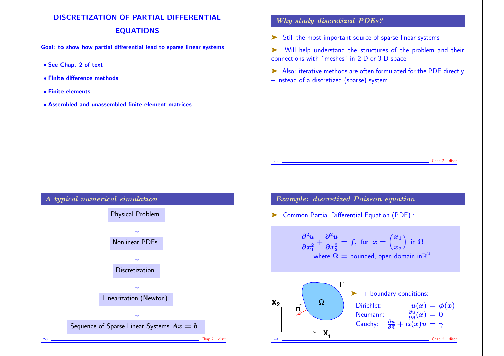## DISCRETIZATION OF PARTIAL DIFFERENTIAL

## EQUATIONS

Goal: to show how partial differential lead to sparse linear systems

- See Chap. 2 of text
- Finite difference methods
- Finite elements
- Assembled and unassembled finite element matrices

## Why study discretized PDEs?

➤ Still the most important source of sparse linear systems

- ➤ Will help understand the structures of the problem and their connections with "meshes" in 2-D or 3-D space
- ➤ Also: iterative methods are often formulated for the PDE directly – instead of a discretized (sparse) system.



Example: discretized Poisson equation

➤ Common Partial Differential Equation (PDE) :

**x**

 $\partial^2 u$  $\partial x_1^2$  $+\frac{1}{2}$  $\partial^2 u$  $\partial x_2^2$  $= f, \text{ for } x = ($  $\langle x_1 \rangle$  $\boldsymbol{x_2}$  $\sum$ in  ${\bf \Omega}^$ where  $\Omega =$  bounded, open domain in $\mathbb{R}^2$  $\mathbf{x}_1$ **<sup>2</sup>** Ω Γ **n**  $\blacktriangleright$  + boundary conditions: Dirichlet:  $u(x) = \phi(x)$ Neumann:  $\frac{\partial u}{\partial \vec{n}}(x) = 0$ Cauchy:  $\frac{\partial u}{\partial \vec{n}} + \alpha(x)u = \gamma$ 

 $Chap 2 - discr$ 

 $Chap 2 - discr$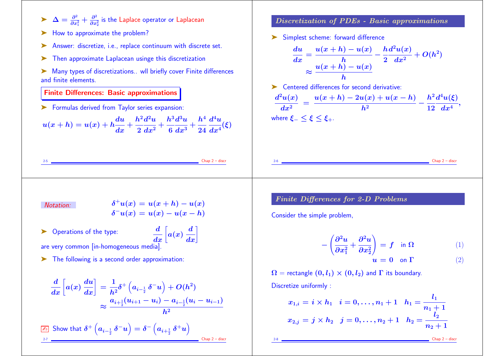- $\blacktriangleright$   $\Delta = \frac{\partial^2}{\partial x^2}$  $\frac{\partial^2}{\partial x_1^2}+\frac{\partial^2}{\partial x_2^2}$  $\frac{\partial^2}{\partial x_2^2}$  is the Laplace operator or Laplacean
- ► How to approximate the problem?
- ➤ Answer: discretize, i.e., replace continuum with discrete set.
- ➤ Then approximate Laplacean usinge this discretization
- ➤ Many types of discretizations.. wll briefly cover Finite differences and finite elements.

#### Finite Differences: Basic approximations

➤ Formulas derived from Taylor series expansion:

 $u(x+h) = u(x) + h \boldsymbol{du}$  $\frac{1}{dx}$  +  $\frac{1}{2}$  $h^2$  $2<sub>0</sub>$  $\bm{d^2u}$  $\frac{1}{dx^2} + \frac{1}{6}$  $h^3\mathfrak{c}$  $6<sub>6</sub>$  $\bm{d^3u}$  $\frac{1}{dx^3} + \frac{1}{2}$  $\bm{h^4}$  $24<sub>0</sub>$  $\bm{d^4u}_{\perp}$  $dx^4$ (ξ)

#### Discretization of PDEs - Basic approximations

➤ Simplest scheme: forward difference

$$
\frac{du}{dx} = \frac{u(x+h) - u(x)}{h} - \frac{h d^2 u(x)}{2 dx^2} + O(h^2)
$$

$$
\approx \frac{u(x+h) - u(x)}{h}
$$

➤ Centered differences for second derivative:

$$
\frac{d^2u(x)}{dx^2} = \frac{u(x+h) - 2u(x) + u(x-h)}{h^2} - \frac{h^2d^4u(\xi)}{12 dx^4},
$$
  
where  $\xi_- \le \xi \le \xi_+$ .

Notation:  $\delta^+u(x) = u(x+h) - u(x)$  $\delta^-u(x) = u(x) - u(x-h)$ 

 $\Box$  Chap  $2$  – discretion

 $Chap 2 - discr$ 

▶ Operations of the type:  $\frac{d}{dx}\bigg[a$  $\bm{a}(\bm{x})$  .  $\frac{d}{dx}\bigg]$ 

are very common [in-homogeneous media].

➤ The following is a second order approximation:

$$
\frac{d}{dx}\left[a(x)\frac{du}{dx}\right] = \frac{1}{h^2}\delta^+\left(a_{i-\frac{1}{2}}\delta^-u\right) + O(h^2)
$$
\n
$$
\approx \frac{a_{i+\frac{1}{2}}(u_{i+1} - u_i) - a_{i-\frac{1}{2}}(u_i - u_{i-1})}{h^2}
$$
\nShow that 

\n
$$
\delta^+\left(a_{i-\frac{1}{2}}\delta^-u\right) = \delta^-\left(a_{i+\frac{1}{2}}\delta^+u\right)
$$

Finite Differences for 2-D Problems

Consider the simple problem,

$$
-\left(\frac{\partial^2 u}{\partial x_1^2} + \frac{\partial^2 u}{\partial x_2^2}\right) = f \quad \text{in } \Omega \tag{1}
$$

$$
u = 0 \quad \text{on } \Gamma \tag{2}
$$

 $\Omega$  = rectangle  $(0, l_1) \times (0, l_2)$  and  $\Gamma$  its boundary. Discretize uniformly :

$$
x_{1,i}=i\times h_1 \quad i=0,\ldots,n_1+1 \quad h_1=\frac{l_1}{n_1+1} \\ x_{2,j}=j\times h_2 \quad j=0,\ldots,n_2+1 \quad h_2=\frac{l_2}{n_2+1}
$$

 $Chap 2 - disc$ 

 $Chap 2 - discr$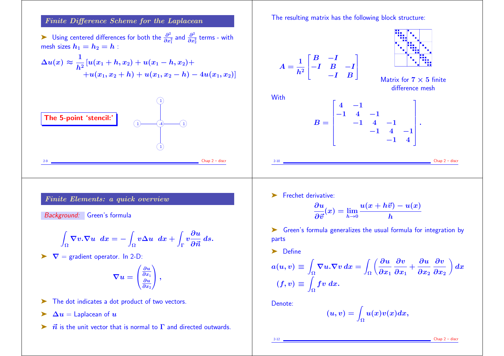#### Finite Difference Scheme for the Laplacean

► Using centered differences for both the  $\frac{\partial^2}{\partial x^2}$  $\frac{\partial^2}{\partial x_1^2}$  and  $\frac{\partial^2}{\partial x_2^2}$  $\frac{\partial^2}{\partial x_2^2}$  terms - with mesh sizes  $h_1 = h_2 = h$  :

$$
\Delta u(x) \approx \frac{1}{h^2} [u(x_1 + h, x_2) + u(x_1 - h, x_2) ++ u(x_1, x_2 + h) + u(x_1, x_2 - h) - 4u(x_1, x_2)]
$$



The resulting matrix has the following block structure:



➤ Frechet derivative:

$$
\frac{\partial u}{\partial \vec{v}}(x) = \lim_{h \to 0} \frac{u(x + h\vec{v}) - u(x)}{h}
$$

➤ Green's formula generalizes the usual formula for integration by parts

➤ Define

$$
a(u,v) \equiv \int_{\Omega} \nabla u \cdot \nabla v \, dx = \int_{\Omega} \left( \frac{\partial u}{\partial x_1} \frac{\partial v}{\partial x_1} + \frac{\partial u}{\partial x_2} \frac{\partial v}{\partial x_2} \right) dx
$$

$$
(f,v) \equiv \int_{\Omega} fv \, dx.
$$

Denote:

$$
(u,v)=\int_{\Omega}u(x)v(x)dx,
$$

 $Chap 2 - disc$ 

# Finite Elements: a quick overview

Background: Green's formula

$$
\int_{\Omega}\nabla v.\nabla u\,dx=-\int_{\Omega}v\Delta u\,dx+\int_{\Gamma}v\frac{\partial u}{\partial\vec{n}}\,ds.
$$

 $\blacktriangleright \nabla$  = gradient operator. In 2-D:

$$
\boldsymbol{\nabla} u = \begin{pmatrix} \frac{\partial u}{\partial x_1} \\ \frac{\partial u}{\partial x_2} \end{pmatrix},
$$

- ► The dot indicates a dot product of two vectors.
- $\triangleright$   $\Delta u =$  Laplacean of  $u$
- $\triangleright$   $\vec{n}$  is the unit vector that is normal to  $\Gamma$  and directed outwards.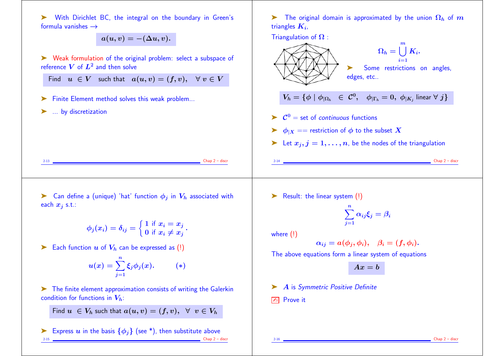➤ With Dirichlet BC, the integral on the boundary in Green's formula vanishes  $\rightarrow$ 

 $a(u, v) = -(\Delta u, v).$ 

➤ Weak formulation of the original problem: select a subspace of reference  $V$  of  $L^2$  and then solve

Find  $u \in V$  such that  $a(u, v) = (f, v), \forall v \in V$ 

- ➤ Finite Element method solves this weak problem...
- ▶ ... by discretization

 $\blacktriangleright$  The original domain is approximated by the union  $\Omega_h$  of m triangles  $\boldsymbol{K_{i}}$ ,



 $\triangleright$  Can define a (unique) 'hat' function  $\phi_i$  in  $V_h$  associated with each  $x_i$  s.t.:

> $\phi_j(x_i) = \delta_{ij} = \big\{$  $\int 1$  if  $x_i = x_j$ 0 if  $x_i \neq x_j$ .

Each function  $u$  of  $V_h$  can be expressed as (!)

$$
u(x)=\sum_{j=1}^n \xi_j \phi_j(x). \hspace{20pt} (*)
$$

➤ The finite element approximation consists of writing the Galerkin condition for functions in  $V_h$ :

Find  $u \in V_h$  such that  $a(u, v) = (f, v), \forall v \in V_h$ 

Express u in the basis  $\{\phi_j\}$  (see \*), then substitute above<br>  $\frac{1}{2 \cdot 15}$  Chap 2-6  $Chap 2 - discr$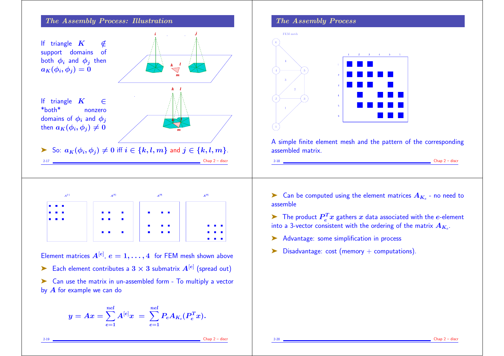

Element matrices  $A^{[e]}, e=1,\ldots,4$  for FEM mesh shown above

- Each element contributes a  $3 \times 3$  submatrix  $A^{[e]}$  (spread out)
- ➤ Can use the matrix in un-assembled form To multiply a vector by  $A$  for example we can do

$$
y = Ax = \sum_{e=1}^{nel} A^{[e]} x \ = \ \sum_{e=1}^{nel} P_e A_{K_e}(P_e^T x).
$$

#### The Assembly Process



A simple finite element mesh and the pattern of the corresponding assembled matrix.

 $\blacktriangleright$  Can be computed using the element matrices  $A_{K_e}$  - no need to assemble

 $\blacktriangleright$  The product  $P_e^Tx$  gathers  $x$  data associated with the  $e$ -element into a 3-vector consistent with the ordering of the matrix  $A_{K_{e} \cdot \vphantom{\overline{J}}\cdot \vphantom{\overline{J}}\cdot \vphantom{\overline{J}}\cdot \vphantom{\overline{J}}\cdot \vphantom{\overline{J}}\cdot$ 

- ▶ Advantage: some simplification in process
- $\triangleright$  Disadvantage: cost (memory + computations).

 $Chap 2 - discr$